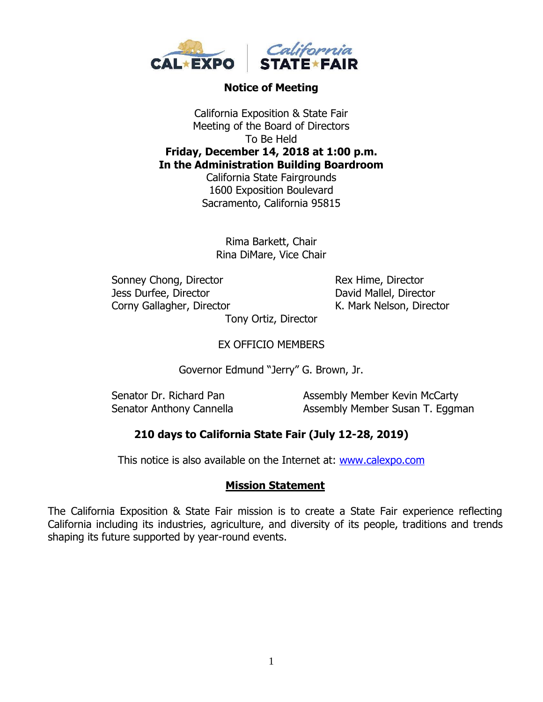

## **Notice of Meeting**

California Exposition & State Fair Meeting of the Board of Directors To Be Held **Friday, December 14, 2018 at 1:00 p.m. In the Administration Building Boardroom**

California State Fairgrounds 1600 Exposition Boulevard Sacramento, California 95815

Rima Barkett, Chair Rina DiMare, Vice Chair

Sonney Chong, Director Rex Hime, Director Jess Durfee, Director David Mallel, Director Corny Gallagher, Director K. Mark Nelson, Director

Tony Ortiz, Director

EX OFFICIO MEMBERS

Governor Edmund "Jerry" G. Brown, Jr.

Senator Dr. Richard Pan Assembly Member Kevin McCarty Senator Anthony Cannella **Assembly Member Susan T. Eggman** 

## **210 days to California State Fair (July 12-28, 2019)**

This notice is also available on the Internet at: [www.calexpo.com](http://www.calexpo.com/)

## **Mission Statement**

The California Exposition & State Fair mission is to create a State Fair experience reflecting California including its industries, agriculture, and diversity of its people, traditions and trends shaping its future supported by year-round events.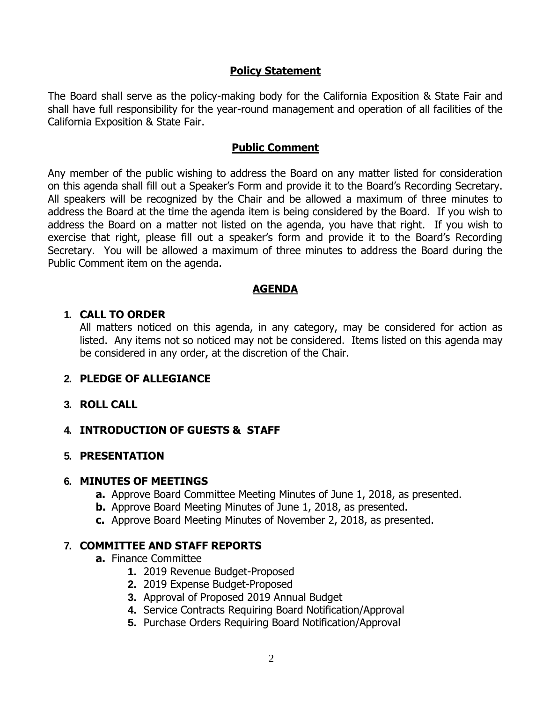### **Policy Statement**

The Board shall serve as the policy-making body for the California Exposition & State Fair and shall have full responsibility for the year-round management and operation of all facilities of the California Exposition & State Fair.

#### **Public Comment**

Any member of the public wishing to address the Board on any matter listed for consideration on this agenda shall fill out a Speaker's Form and provide it to the Board's Recording Secretary. All speakers will be recognized by the Chair and be allowed a maximum of three minutes to address the Board at the time the agenda item is being considered by the Board. If you wish to address the Board on a matter not listed on the agenda, you have that right. If you wish to exercise that right, please fill out a speaker's form and provide it to the Board's Recording Secretary. You will be allowed a maximum of three minutes to address the Board during the Public Comment item on the agenda.

## **AGENDA**

#### **1. CALL TO ORDER**

All matters noticed on this agenda, in any category, may be considered for action as listed. Any items not so noticed may not be considered. Items listed on this agenda may be considered in any order, at the discretion of the Chair.

## **2. PLEDGE OF ALLEGIANCE**

#### **3. ROLL CALL**

## **4. INTRODUCTION OF GUESTS & STAFF**

#### **5. PRESENTATION**

#### **6. MINUTES OF MEETINGS**

- **a.** Approve Board Committee Meeting Minutes of June 1, 2018, as presented.
- **b.** Approve Board Meeting Minutes of June 1, 2018, as presented.
- **c.** Approve Board Meeting Minutes of November 2, 2018, as presented.

#### **7. COMMITTEE AND STAFF REPORTS**

- **a.** Finance Committee
	- **1.** 2019 Revenue Budget-Proposed
	- **2.** 2019 Expense Budget-Proposed
	- **3.** Approval of Proposed 2019 Annual Budget
	- **4.** Service Contracts Requiring Board Notification/Approval
	- **5.** Purchase Orders Requiring Board Notification/Approval